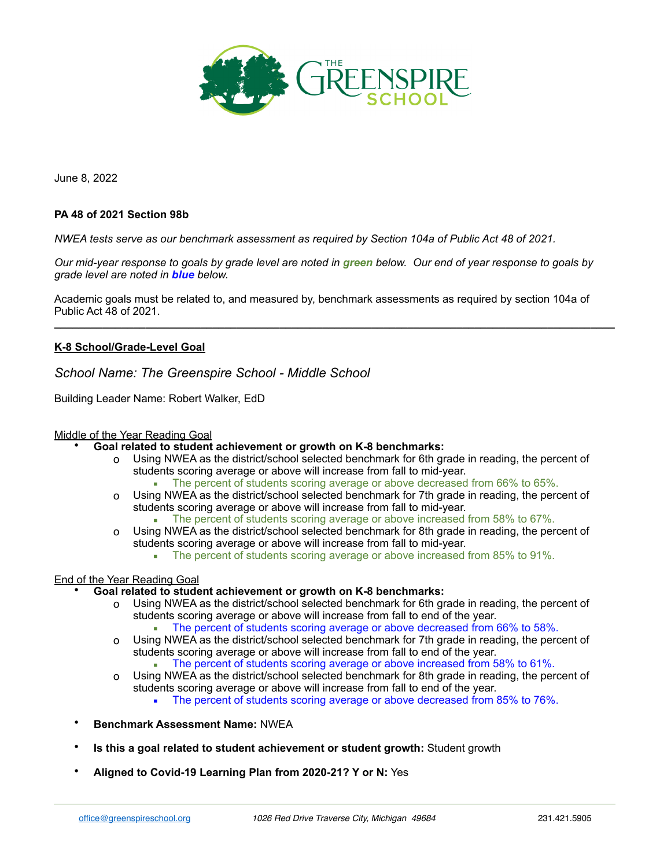

June 8, 2022

## **PA 48 of 2021 Section 98b**

*NWEA tests serve as our benchmark assessment as required by Section 104a of Public Act 48 of 2021.*

*Our mid-year response to goals by grade level are noted in green below. Our end of year response to goals by grade level are noted in blue below.* 

Academic goals must be related to, and measured by, benchmark assessments as required by section 104a of Public Act 48 of 2021.

**\_\_\_\_\_\_\_\_\_\_\_\_\_\_\_\_\_\_\_\_\_\_\_\_\_\_\_\_\_\_\_\_\_\_\_\_\_\_\_\_\_\_\_\_\_\_\_\_\_\_\_\_\_\_\_\_\_\_\_\_\_\_\_\_\_\_\_\_\_\_\_\_\_\_\_\_\_\_\_\_\_\_\_\_\_\_\_\_\_\_\_\_**

## **K-8 School/Grade-Level Goal**

*School Name: The Greenspire School - Middle School*

Building Leader Name: Robert Walker, EdD

## Middle of the Year Reading Goal

#### • **Goal related to student achievement or growth on K-8 benchmarks:**

- o Using NWEA as the district/school selected benchmark for 6th grade in reading, the percent of students scoring average or above will increase from fall to mid-year.
	- **The percent of students scoring average or above decreased from 66% to 65%.**
- o Using NWEA as the district/school selected benchmark for 7th grade in reading, the percent of students scoring average or above will increase from fall to mid-year.
	- The percent of students scoring average or above increased from 58% to 67%.
- o Using NWEA as the district/school selected benchmark for 8th grade in reading, the percent of students scoring average or above will increase from fall to mid-year.
	- The percent of students scoring average or above increased from 85% to 91%.

#### End of the Year Reading Goal

### • **Goal related to student achievement or growth on K-8 benchmarks:**

- o Using NWEA as the district/school selected benchmark for 6th grade in reading, the percent of students scoring average or above will increase from fall to end of the year.
	- **The percent of students scoring average or above decreased from 66% to 58%.**
- o Using NWEA as the district/school selected benchmark for 7th grade in reading, the percent of students scoring average or above will increase from fall to end of the year.
	- **The percent of students scoring average or above increased from 58% to 61%.**
- o Using NWEA as the district/school selected benchmark for 8th grade in reading, the percent of students scoring average or above will increase from fall to end of the year.
	- **The percent of students scoring average or above decreased from 85% to 76%.**
- **Benchmark Assessment Name:** NWEA
- **Is this a goal related to student achievement or student growth:** Student growth
- **Aligned to Covid-19 Learning Plan from 2020-21? Y or N:** Yes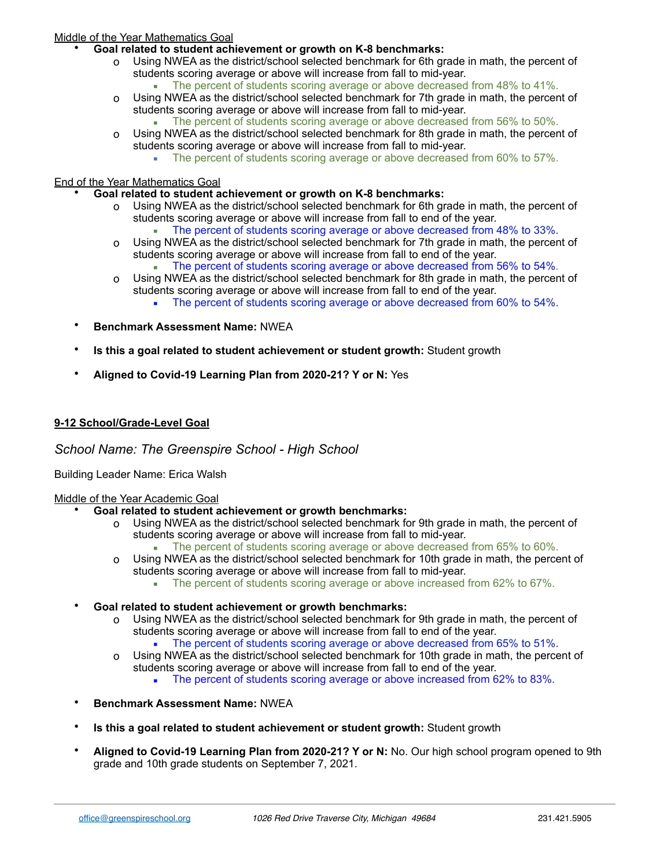# Middle of the Year Mathematics Goal

- **Goal related to student achievement or growth on K-8 benchmarks:**
	- o Using NWEA as the district/school selected benchmark for 6th grade in math, the percent of students scoring average or above will increase from fall to mid-year.
		- The percent of students scoring average or above decreased from 48% to 41%.
	- o Using NWEA as the district/school selected benchmark for 7th grade in math, the percent of students scoring average or above will increase from fall to mid-year. The percent of students scoring average or above decreased from 56% to 50%.
	- o Using NWEA as the district/school selected benchmark for 8th grade in math, the percent of students scoring average or above will increase from fall to mid-year.
		- **•** The percent of students scoring average or above decreased from 60% to 57%.

## End of the Year Mathematics Goal

- **Goal related to student achievement or growth on K-8 benchmarks:**
	- o Using NWEA as the district/school selected benchmark for 6th grade in math, the percent of students scoring average or above will increase from fall to end of the year.
		- The percent of students scoring average or above decreased from 48% to 33%.
	- o Using NWEA as the district/school selected benchmark for 7th grade in math, the percent of students scoring average or above will increase from fall to end of the year.
	- **The percent of students scoring average or above decreased from 56% to 54%.** o Using NWEA as the district/school selected benchmark for 8th grade in math, the percent of
		- students scoring average or above will increase from fall to end of the year. **• The percent of students scoring average or above decreased from 60% to 54%.**
- **Benchmark Assessment Name:** NWEA
- **Is this a goal related to student achievement or student growth:** Student growth
- **Aligned to Covid-19 Learning Plan from 2020-21? Y or N:** Yes

# **9-12 School/Grade-Level Goal**

*School Name: The Greenspire School - High School*

Building Leader Name: Erica Walsh

## Middle of the Year Academic Goal

- **Goal related to student achievement or growth benchmarks:** 
	- o Using NWEA as the district/school selected benchmark for 9th grade in math, the percent of students scoring average or above will increase from fall to mid-year.
		- The percent of students scoring average or above decreased from 65% to 60%.
	- o Using NWEA as the district/school selected benchmark for 10th grade in math, the percent of students scoring average or above will increase from fall to mid-year.
		- **The percent of students scoring average or above increased from 62% to 67%.**
- **Goal related to student achievement or growth benchmarks:** 
	- o Using NWEA as the district/school selected benchmark for 9th grade in math, the percent of students scoring average or above will increase from fall to end of the year.
		- The percent of students scoring average or above decreased from 65% to 51%.
	- o Using NWEA as the district/school selected benchmark for 10th grade in math, the percent of students scoring average or above will increase from fall to end of the year.
		- **The percent of students scoring average or above increased from 62% to 83%.**
- **Benchmark Assessment Name:** NWEA
- **Is this a goal related to student achievement or student growth:** Student growth
- **Aligned to Covid-19 Learning Plan from 2020-21? Y or N:** No. Our high school program opened to 9th grade and 10th grade students on September 7, 2021.